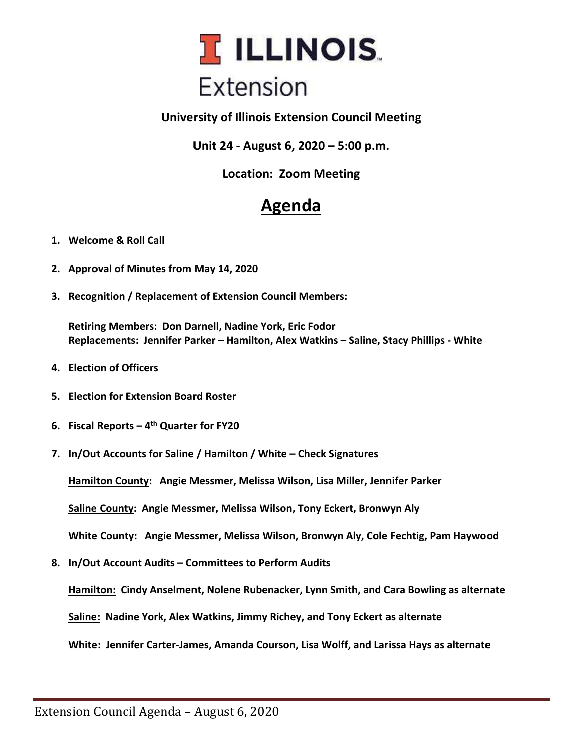

## **University of Illinois Extension Council Meeting**

**Unit 24 - August 6, 2020 – 5:00 p.m.**

**Location: Zoom Meeting**

## **Agenda**

- **1. Welcome & Roll Call**
- **2. Approval of Minutes from May 14, 2020**
- **3. Recognition / Replacement of Extension Council Members:**

**Retiring Members: Don Darnell, Nadine York, Eric Fodor Replacements: Jennifer Parker – Hamilton, Alex Watkins – Saline, Stacy Phillips - White**

- **4. Election of Officers**
- **5. Election for Extension Board Roster**
- **6. Fiscal Reports – 4 th Quarter for FY20**
- **7. In/Out Accounts for Saline / Hamilton / White – Check Signatures**

**Hamilton County: Angie Messmer, Melissa Wilson, Lisa Miller, Jennifer Parker**

**Saline County: Angie Messmer, Melissa Wilson, Tony Eckert, Bronwyn Aly**

**White County: Angie Messmer, Melissa Wilson, Bronwyn Aly, Cole Fechtig, Pam Haywood**

**8. In/Out Account Audits – Committees to Perform Audits**

**Hamilton: Cindy Anselment, Nolene Rubenacker, Lynn Smith, and Cara Bowling as alternate**

**Saline: Nadine York, Alex Watkins, Jimmy Richey, and Tony Eckert as alternate**

**White: Jennifer Carter-James, Amanda Courson, Lisa Wolff, and Larissa Hays as alternate**